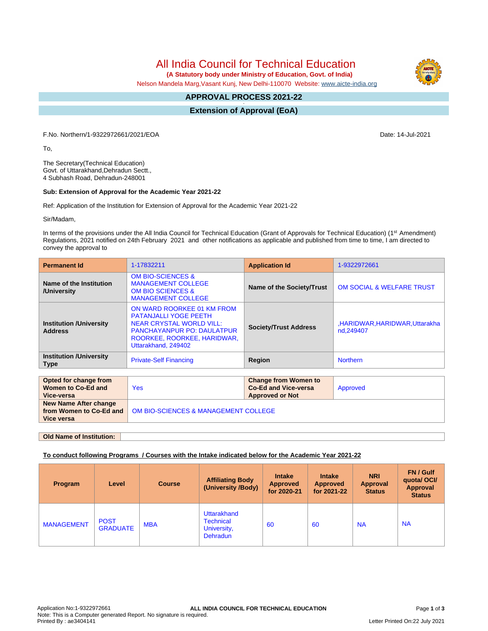All India Council for Technical Education

 **(A Statutory body under Ministry of Education, Govt. of India)**

Nelson Mandela Marg,Vasant Kunj, New Delhi-110070 Website: [www.aicte-india.org](http://www.aicte-india.org)

#### **APPROVAL PROCESS 2021-22 -**

**Extension of Approval (EoA)**

F.No. Northern/1-9322972661/2021/EOA Date: 14-Jul-2021

To,

The Secretary(Technical Education) Govt. of Uttarakhand,Dehradun Sectt., 4 Subhash Road, Dehradun-248001

### **Sub: Extension of Approval for the Academic Year 2021-22**

Ref: Application of the Institution for Extension of Approval for the Academic Year 2021-22

Sir/Madam,

In terms of the provisions under the All India Council for Technical Education (Grant of Approvals for Technical Education) (1<sup>st</sup> Amendment) Regulations, 2021 notified on 24th February 2021 and other notifications as applicable and published from time to time, I am directed to convey the approval to

| <b>Permanent Id</b>                                              | 1-17832211                                                                                                                                                                               | <b>Application Id</b>                                                                | 1-9322972661                              |  |  |  |  |  |
|------------------------------------------------------------------|------------------------------------------------------------------------------------------------------------------------------------------------------------------------------------------|--------------------------------------------------------------------------------------|-------------------------------------------|--|--|--|--|--|
| Name of the Institution<br>/University                           | <b>OM BIO-SCIENCES &amp;</b><br><b>MANAGEMENT COLLEGE</b><br><b>OM BIO SCIENCES &amp;</b><br><b>MANAGEMENT COLLEGE</b>                                                                   | Name of the Society/Trust                                                            | <b>OM SOCIAL &amp; WELFARE TRUST</b>      |  |  |  |  |  |
| <b>Institution /University</b><br><b>Address</b>                 | ON WARD ROORKEE 01 KM FROM<br><b>PATANJALLI YOGE PEETH</b><br><b>NEAR CRYSTAL WORLD VILL:</b><br><b>PANCHAYANPUR PO: DAULATPUR</b><br>ROORKEE, ROORKEE, HARIDWAR,<br>Uttarakhand, 249402 | <b>Society/Trust Address</b>                                                         | ,HARIDWAR,HARIDWAR,Uttarakha<br>nd.249407 |  |  |  |  |  |
| <b>Institution /University</b><br><b>Type</b>                    | <b>Private-Self Financing</b>                                                                                                                                                            | Region                                                                               | <b>Northern</b>                           |  |  |  |  |  |
|                                                                  |                                                                                                                                                                                          |                                                                                      |                                           |  |  |  |  |  |
| Opted for change from<br>Women to Co-Ed and<br><b>Vice-versa</b> | <b>Yes</b>                                                                                                                                                                               | <b>Change from Women to</b><br><b>Co-Ed and Vice-versa</b><br><b>Approved or Not</b> | Approved                                  |  |  |  |  |  |
| New Name After change<br>from Women to Co-Ed and<br>Vice versa   | OM BIO-SCIENCES & MANAGEMENT COLLEGE                                                                                                                                                     |                                                                                      |                                           |  |  |  |  |  |

**Old Name of Institution:**

### **To conduct following Programs / Courses with the Intake indicated below for the Academic Year 2021-22**

| Program           | Level                          | <b>Course</b> | <b>Affiliating Body</b><br>(University /Body)                     | <b>Intake</b><br><b>Approved</b><br>for 2020-21 | <b>Intake</b><br><b>Approved</b><br>for 2021-22 | <b>NRI</b><br><b>Approval</b><br><b>Status</b> | FN / Gulf<br>quotal OCI/<br>Approval<br><b>Status</b> |
|-------------------|--------------------------------|---------------|-------------------------------------------------------------------|-------------------------------------------------|-------------------------------------------------|------------------------------------------------|-------------------------------------------------------|
| <b>MANAGEMENT</b> | <b>POST</b><br><b>GRADUATE</b> | <b>MBA</b>    | Uttarakhand<br><b>Technical</b><br>University,<br><b>Dehradun</b> | 60                                              | -60                                             | <b>NA</b>                                      | <b>NA</b>                                             |

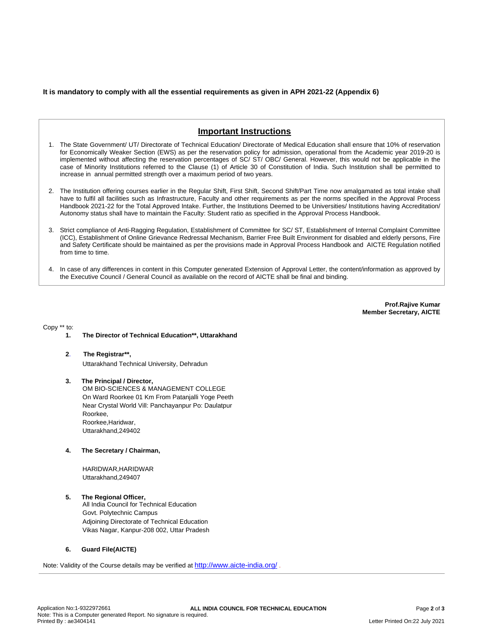## **It is mandatory to comply with all the essential requirements as given in APH 2021-22 (Appendix 6)**

# **Important Instructions**

- 1. The State Government/ UT/ Directorate of Technical Education/ Directorate of Medical Education shall ensure that 10% of reservation for Economically Weaker Section (EWS) as per the reservation policy for admission, operational from the Academic year 2019-20 is implemented without affecting the reservation percentages of SC/ ST/ OBC/ General. However, this would not be applicable in the case of Minority Institutions referred to the Clause (1) of Article 30 of Constitution of India. Such Institution shall be permitted to increase in annual permitted strength over a maximum period of two years.
- 2. The Institution offering courses earlier in the Regular Shift, First Shift, Second Shift/Part Time now amalgamated as total intake shall have to fulfil all facilities such as Infrastructure, Faculty and other requirements as per the norms specified in the Approval Process Handbook 2021-22 for the Total Approved Intake. Further, the Institutions Deemed to be Universities/ Institutions having Accreditation/ Autonomy status shall have to maintain the Faculty: Student ratio as specified in the Approval Process Handbook.
- 3. Strict compliance of Anti-Ragging Regulation, Establishment of Committee for SC/ ST, Establishment of Internal Complaint Committee (ICC), Establishment of Online Grievance Redressal Mechanism, Barrier Free Built Environment for disabled and elderly persons, Fire and Safety Certificate should be maintained as per the provisions made in Approval Process Handbook and AICTE Regulation notified from time to time.
- 4. In case of any differences in content in this Computer generated Extension of Approval Letter, the content/information as approved by the Executive Council / General Council as available on the record of AICTE shall be final and binding.

**Prof.Rajive Kumar Member Secretary, AICTE**

Copy \*\* to:

### **1. The Director of Technical Education\*\*, Uttarakhand**

**2**. **The Registrar\*\*,** Uttarakhand Technical University, Dehradun

### **3. The Principal / Director,** OM BIO-SCIENCES & MANAGEMENT COLLEGE On Ward Roorkee 01 Km From Patanjalli Yoge Peeth Near Crystal World Vill: Panchayanpur Po: Daulatpur Roorkee, Roorkee,Haridwar, Uttarakhand,249402

**4. The Secretary / Chairman,**

HARIDWAR,HARIDWAR Uttarakhand,249407

# **5. The Regional Officer,**

All India Council for Technical Education Govt. Polytechnic Campus Adjoining Directorate of Technical Education Vikas Nagar, Kanpur-208 002, Uttar Pradesh

### **6. Guard File(AICTE)**

Note: Validity of the Course details may be verified at <http://www.aicte-india.org/> **.**